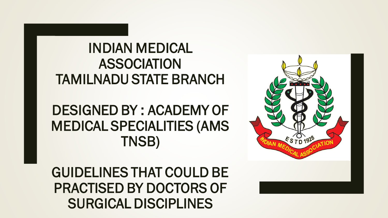### INDIAN MEDICAL ASSOCIATION TAMILNADU STATE BRANCH

### DESIGNED BY : ACADEMY OF MEDICAL SPECIALITIES (AMS TNSB)

GUIDELINES THAT COULD BE PRACTISED BY DOCTORS OF SURGICAL DISCIPLINES

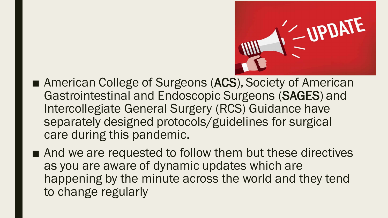

- American College of Surgeons (ACS), Society of American Gastrointestinal and Endoscopic Surgeons (SAGES) and Intercollegiate General Surgery (RCS) Guidance have separately designed protocols/guidelines for surgical care during this pandemic.
- And we are requested to follow them but these directives as you are aware of dynamic updates which are happening by the minute across the world and they tend to change regularly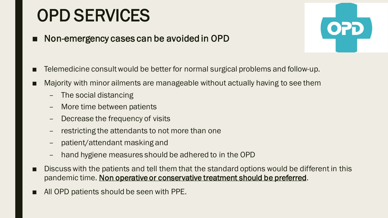## OPD SERVICES

■ Non-emergency cases can be avoided in OPD



- Telemedicine consult would be better for normal surgical problems and follow-up.
- Majority with minor ailments are manageable without actually having to see them
	- The social distancing
	- More time between patients
	- Decrease the frequency of visits
	- restricting the attendants to not more than one
	- patient/attendant masking and
	- hand hygiene measures should be adhered to in the OPD
- Discuss with the patients and tell them that the standard options would be different in this pandemic time. Non operative or conservative treatment should be preferred.
- All OPD patients should be seen with PPE.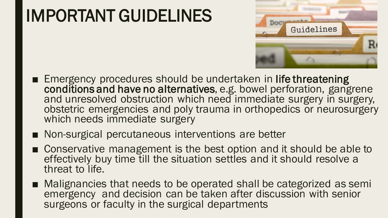## IMPORTANT GUIDELINES



- Emergency procedures should be undertaken in life threatening conditions and have no alternatives, e.g. bowel perforation, gangrene and unresolved obstruction which need immediate surgery in surgery, obstetric emergencies and poly trauma in orthopedics or neurosurgery which needs immediate surgery
- Non-surgical percutaneous interventions are better
- Conservative management is the best option and it should be able to effectively buy time till the situation settles and it should resolve a threat to life.
- Malignancies that needs to be operated shall be categorized as semi emergency and decision can be taken after discussion with senior surgeons or faculty in the surgical departments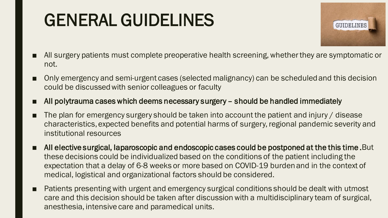# GENERAL GUIDELINES



- All surgery patients must complete preoperative health screening, whether they are symptomatic or not.
- Only emergency and semi-urgent cases (selected malignancy) can be scheduled and this decision could be discussed with senior colleagues or faculty
- All polytrauma cases which deems necessary surgery should be handled immediately
- The plan for emergency surgery should be taken into account the patient and injury / disease characteristics, expected benefits and potential harms of surgery, regional pandemic severity and institutional resources
- All elective surgical, laparoscopic and endoscopic cases could be postponed at the this time. But these decisions could be individualized based on the conditions of the patient including the expectation that a delay of 6-8 weeks or more based on COVID-19 burden and in the context of medical, logistical and organizational factors should be considered.
- Patients presenting with urgent and emergency surgical conditions should be dealt with utmost care and this decision should be taken after discussion with a multidisciplinary team of surgical, anesthesia, intensive care and paramedical units.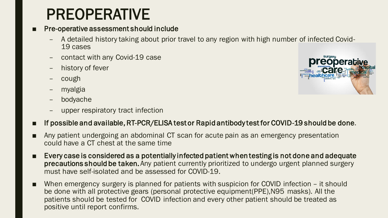### PREOPERATIVE

#### ■ Pre-operative assessment should include

- A detailed history taking about prior travel to any region with high number of infected Covid-19 cases
- contact with any Covid-19 case
- history of fever
- cough
- myalgia
- bodyache
- upper respiratory tract infection



- Any patient undergoing an abdominal CT scan for acute pain as an emergency presentation could have a CT chest at the same time
- Every case is considered as a potentially infected patient when testing is not done and adequate precautions should be taken. Any patient currently prioritized to undergo urgent planned surgery must have self-isolated and be assessed for COVID-19.
- When emergency surgery is planned for patients with suspicion for COVID infection it should be done with all protective gears (personal protective equipment(PPE),N95 masks). All the patients should be tested for COVID infection and every other patient should be treated as positive until report confirms.

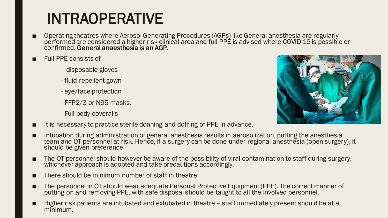## INTRAOPERATIVE

- Operating theatres where Aerosol Generating Procedures (AGPs) like General anesthesia are regularly performed are considered a higher risk clinical area and full PPE is advised where COVID-19 is possible or confirmed. General anaesthesia is an AGP.
- Full PPE consists of
	- disposable gloves
	- fluid repellent gown
	- eye/face protection
	- FFP2/3 or N95 masks.
	- Full body coveralls
- It is necessary to practice sterile donning and doffing of PPE in advance.
- Intubation during administration of general anesthesia results in aerosolization, putting the anesthesia team and OT personnel at risk. Hence, if a surgery can be done under regional anesthesia (open surgery), it should be given preference.
- The OT personnel should however be aware of the possibility of viral contamination to staff during surgery, whichever approach is adopted and take precautions accordingly.
- There should be minimum number of staff in theatre
- The personnel in OT should wear adequate Personal Protective Equipment (PPE). The correct manner of putting on and removing PPE, with safe disposal should be taught to all the involved personnel.
- Higher risk patients are intubated and extubated in theatre staff immediately present should be at a minimum.

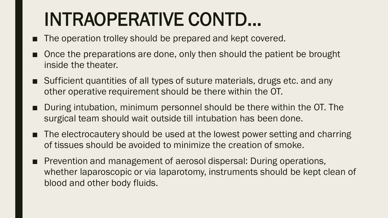# INTRAOPERATIVE CONTD…

- The operation trolley should be prepared and kept covered.
- Once the preparations are done, only then should the patient be brought inside the theater.
- Sufficient quantities of all types of suture materials, drugs etc. and any other operative requirement should be there within the OT.
- During intubation, minimum personnel should be there within the OT. The surgical team should wait outside till intubation has been done.
- The electrocautery should be used at the lowest power setting and charring of tissues should be avoided to minimize the creation of smoke.
- Prevention and management of aerosol dispersal: During operations, whether laparoscopic or via laparotomy, instruments should be kept clean of blood and other body fluids.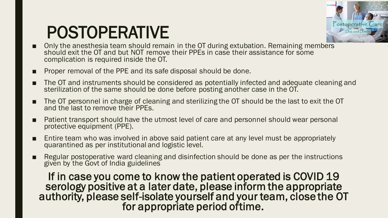## POSTOPERATIVE



- Only the anesthesia team should remain in the OT during extubation. Remaining members should exit the OT and but NOT remove their PPEs in case their assistance for some complication is required inside the OT.
- Proper removal of the PPE and its safe disposal should be done.
- The OT and instruments should be considered as potentially infected and adequate cleaning and sterilization of the same should be done before posting another case in the OT.
- The OT personnel in charge of cleaning and sterilizing the OT should be the last to exit the OT and the last to remove their PPEs.
- Patient transport should have the utmost level of care and personnel should wear personal protective equipment (PPE).
- Entire team who was involved in above said patient care at any level must be appropriately quarantined as per institutional and logistic level.
- Regular postoperative ward cleaning and disinfection should be done as per the instructions given by the Govt of India guidelines

If in case you come to know the patient operated is COVID 19 serology positive at a later date, please inform the appropriate authority, please self-isolate yourself and your team, close the OT for appropriate period oftime.